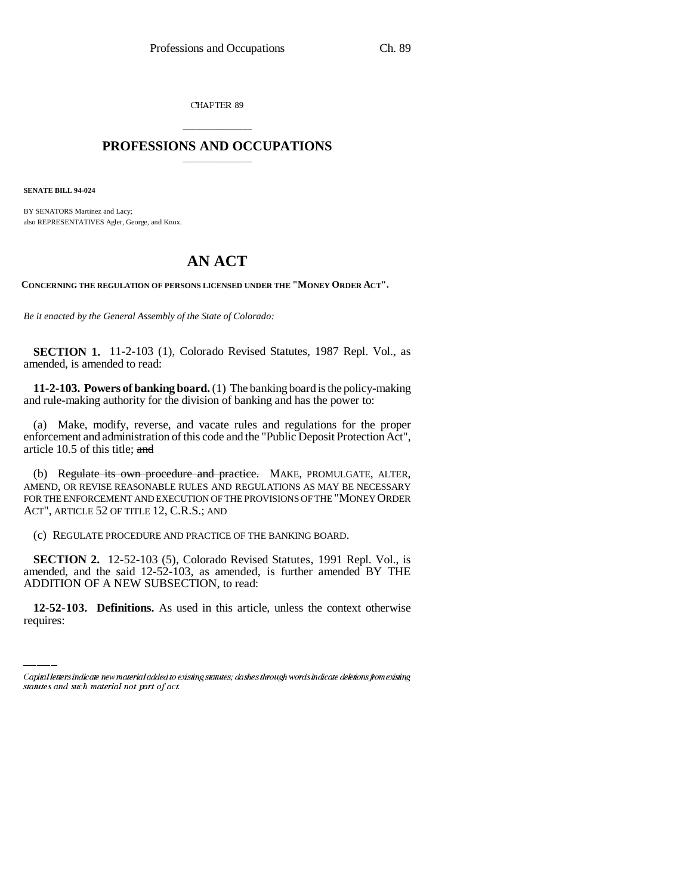CHAPTER 89

## \_\_\_\_\_\_\_\_\_\_\_\_\_\_\_ **PROFESSIONS AND OCCUPATIONS** \_\_\_\_\_\_\_\_\_\_\_\_\_\_\_

**SENATE BILL 94-024**

BY SENATORS Martinez and Lacy; also REPRESENTATIVES Agler, George, and Knox.

## **AN ACT**

**CONCERNING THE REGULATION OF PERSONS LICENSED UNDER THE "MONEY ORDER ACT".**

*Be it enacted by the General Assembly of the State of Colorado:*

**SECTION 1.** 11-2-103 (1), Colorado Revised Statutes, 1987 Repl. Vol., as amended, is amended to read:

**11-2-103. Powers of banking board.** (1) The banking board is the policy-making and rule-making authority for the division of banking and has the power to:

(a) Make, modify, reverse, and vacate rules and regulations for the proper enforcement and administration of this code and the "Public Deposit Protection Act", article 10.5 of this title; and

(b) Regulate its own procedure and practice. MAKE, PROMULGATE, ALTER, AMEND, OR REVISE REASONABLE RULES AND REGULATIONS AS MAY BE NECESSARY FOR THE ENFORCEMENT AND EXECUTION OF THE PROVISIONS OF THE "MONEY ORDER ACT", ARTICLE 52 OF TITLE 12, C.R.S.; AND

(c) REGULATE PROCEDURE AND PRACTICE OF THE BANKING BOARD.

ADDITION OF A NEW SUBSECTION, to read: **SECTION 2.** 12-52-103 (5), Colorado Revised Statutes, 1991 Repl. Vol., is amended, and the said 12-52-103, as amended, is further amended BY THE

**12-52-103. Definitions.** As used in this article, unless the context otherwise requires:

Capital letters indicate new material added to existing statutes; dashes through words indicate deletions from existing statutes and such material not part of act.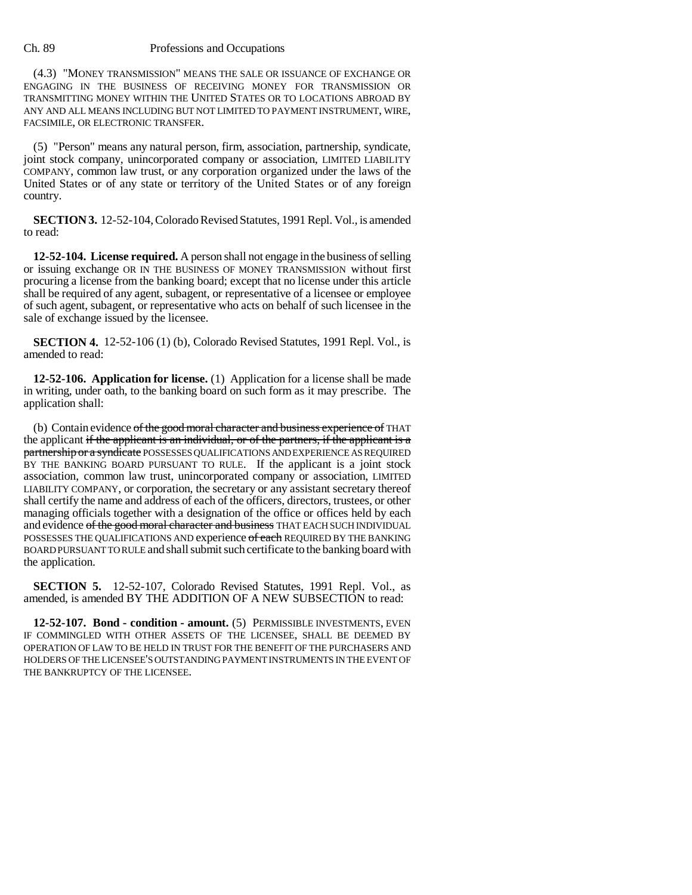Ch. 89 Professions and Occupations

(4.3) "MONEY TRANSMISSION" MEANS THE SALE OR ISSUANCE OF EXCHANGE OR ENGAGING IN THE BUSINESS OF RECEIVING MONEY FOR TRANSMISSION OR TRANSMITTING MONEY WITHIN THE UNITED STATES OR TO LOCATIONS ABROAD BY ANY AND ALL MEANS INCLUDING BUT NOT LIMITED TO PAYMENT INSTRUMENT, WIRE, FACSIMILE, OR ELECTRONIC TRANSFER.

(5) "Person" means any natural person, firm, association, partnership, syndicate, joint stock company, unincorporated company or association, LIMITED LIABILITY COMPANY, common law trust, or any corporation organized under the laws of the United States or of any state or territory of the United States or of any foreign country.

**SECTION 3.** 12-52-104, Colorado Revised Statutes, 1991 Repl. Vol., is amended to read:

**12-52-104. License required.** A person shall not engage in the business of selling or issuing exchange OR IN THE BUSINESS OF MONEY TRANSMISSION without first procuring a license from the banking board; except that no license under this article shall be required of any agent, subagent, or representative of a licensee or employee of such agent, subagent, or representative who acts on behalf of such licensee in the sale of exchange issued by the licensee.

**SECTION 4.** 12-52-106 (1) (b), Colorado Revised Statutes, 1991 Repl. Vol., is amended to read:

**12-52-106. Application for license.** (1) Application for a license shall be made in writing, under oath, to the banking board on such form as it may prescribe. The application shall:

(b) Contain evidence of the good moral character and business experience of THAT the applicant if the applicant is an individual, or of the partners, if the applicant is a partnership or a syndicate POSSESSES QUALIFICATIONS AND EXPERIENCE AS REQUIRED BY THE BANKING BOARD PURSUANT TO RULE. If the applicant is a joint stock association, common law trust, unincorporated company or association, LIMITED LIABILITY COMPANY, or corporation, the secretary or any assistant secretary thereof shall certify the name and address of each of the officers, directors, trustees, or other managing officials together with a designation of the office or offices held by each and evidence of the good moral character and business THAT EACH SUCH INDIVIDUAL POSSESSES THE QUALIFICATIONS AND experience of each REQUIRED BY THE BANKING BOARD PURSUANT TO RULE and shall submit such certificate to the banking board with the application.

**SECTION 5.** 12-52-107, Colorado Revised Statutes, 1991 Repl. Vol., as amended, is amended BY THE ADDITION OF A NEW SUBSECTION to read:

**12-52-107. Bond - condition - amount.** (5) PERMISSIBLE INVESTMENTS, EVEN IF COMMINGLED WITH OTHER ASSETS OF THE LICENSEE, SHALL BE DEEMED BY OPERATION OF LAW TO BE HELD IN TRUST FOR THE BENEFIT OF THE PURCHASERS AND HOLDERS OF THE LICENSEE'S OUTSTANDING PAYMENT INSTRUMENTS IN THE EVENT OF THE BANKRUPTCY OF THE LICENSEE.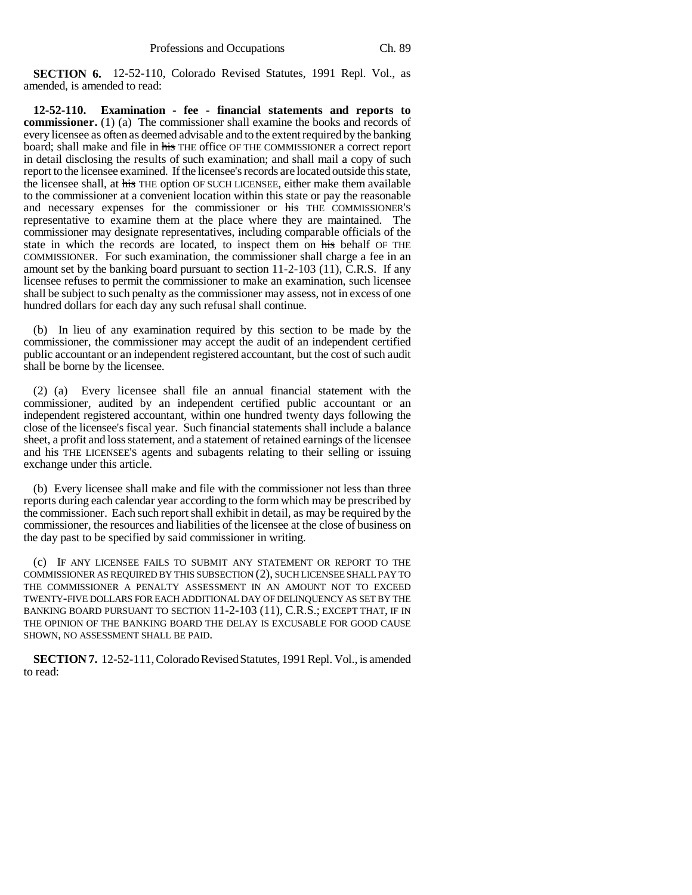**SECTION 6.** 12-52-110, Colorado Revised Statutes, 1991 Repl. Vol., as amended, is amended to read:

**12-52-110. Examination - fee - financial statements and reports to commissioner.** (1) (a) The commissioner shall examine the books and records of every licensee as often as deemed advisable and to the extent required by the banking board; shall make and file in his THE office OF THE COMMISSIONER a correct report in detail disclosing the results of such examination; and shall mail a copy of such report to the licensee examined. If the licensee's records are located outside this state, the licensee shall, at his THE option OF SUCH LICENSEE, either make them available to the commissioner at a convenient location within this state or pay the reasonable and necessary expenses for the commissioner or his THE COMMISSIONER'S representative to examine them at the place where they are maintained. The commissioner may designate representatives, including comparable officials of the state in which the records are located, to inspect them on his behalf OF THE COMMISSIONER. For such examination, the commissioner shall charge a fee in an amount set by the banking board pursuant to section 11-2-103 (11), C.R.S. If any licensee refuses to permit the commissioner to make an examination, such licensee shall be subject to such penalty as the commissioner may assess, not in excess of one hundred dollars for each day any such refusal shall continue.

(b) In lieu of any examination required by this section to be made by the commissioner, the commissioner may accept the audit of an independent certified public accountant or an independent registered accountant, but the cost of such audit shall be borne by the licensee.

(2) (a) Every licensee shall file an annual financial statement with the commissioner, audited by an independent certified public accountant or an independent registered accountant, within one hundred twenty days following the close of the licensee's fiscal year. Such financial statements shall include a balance sheet, a profit and loss statement, and a statement of retained earnings of the licensee and his THE LICENSEE'S agents and subagents relating to their selling or issuing exchange under this article.

(b) Every licensee shall make and file with the commissioner not less than three reports during each calendar year according to the form which may be prescribed by the commissioner. Each such report shall exhibit in detail, as may be required by the commissioner, the resources and liabilities of the licensee at the close of business on the day past to be specified by said commissioner in writing.

(c) IF ANY LICENSEE FAILS TO SUBMIT ANY STATEMENT OR REPORT TO THE COMMISSIONER AS REQUIRED BY THIS SUBSECTION (2), SUCH LICENSEE SHALL PAY TO THE COMMISSIONER A PENALTY ASSESSMENT IN AN AMOUNT NOT TO EXCEED TWENTY-FIVE DOLLARS FOR EACH ADDITIONAL DAY OF DELINQUENCY AS SET BY THE BANKING BOARD PURSUANT TO SECTION 11-2-103 (11), C.R.S.; EXCEPT THAT, IF IN THE OPINION OF THE BANKING BOARD THE DELAY IS EXCUSABLE FOR GOOD CAUSE SHOWN, NO ASSESSMENT SHALL BE PAID.

**SECTION 7.** 12-52-111, Colorado Revised Statutes, 1991 Repl. Vol., is amended to read: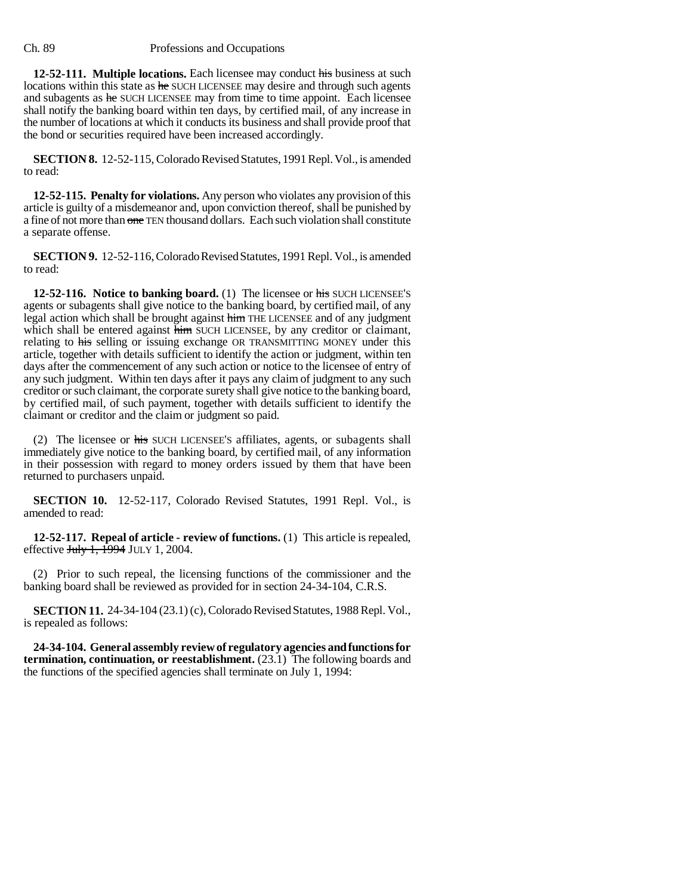## Ch. 89 Professions and Occupations

**12-52-111. Multiple locations.** Each licensee may conduct his business at such locations within this state as he SUCH LICENSEE may desire and through such agents and subagents as he SUCH LICENSEE may from time to time appoint. Each licensee shall notify the banking board within ten days, by certified mail, of any increase in the number of locations at which it conducts its business and shall provide proof that the bond or securities required have been increased accordingly.

**SECTION 8.** 12-52-115, Colorado Revised Statutes, 1991 Repl. Vol., is amended to read:

**12-52-115. Penalty for violations.** Any person who violates any provision of this article is guilty of a misdemeanor and, upon conviction thereof, shall be punished by a fine of not more than one TEN thousand dollars. Each such violation shall constitute a separate offense.

**SECTION 9.** 12-52-116, Colorado Revised Statutes, 1991 Repl. Vol., is amended to read:

**12-52-116. Notice to banking board.** (1) The licensee or his SUCH LICENSEE'S agents or subagents shall give notice to the banking board, by certified mail, of any legal action which shall be brought against him THE LICENSEE and of any judgment which shall be entered against him SUCH LICENSEE, by any creditor or claimant, relating to his selling or issuing exchange OR TRANSMITTING MONEY under this article, together with details sufficient to identify the action or judgment, within ten days after the commencement of any such action or notice to the licensee of entry of any such judgment. Within ten days after it pays any claim of judgment to any such creditor or such claimant, the corporate surety shall give notice to the banking board, by certified mail, of such payment, together with details sufficient to identify the claimant or creditor and the claim or judgment so paid.

(2) The licensee or his SUCH LICENSEE'S affiliates, agents, or subagents shall immediately give notice to the banking board, by certified mail, of any information in their possession with regard to money orders issued by them that have been returned to purchasers unpaid.

**SECTION 10.** 12-52-117, Colorado Revised Statutes, 1991 Repl. Vol., is amended to read:

**12-52-117. Repeal of article - review of functions.** (1) This article is repealed, effective  $J_{\text{t}}$ ,  $\overline{1994}$  JULY 1, 2004.

(2) Prior to such repeal, the licensing functions of the commissioner and the banking board shall be reviewed as provided for in section 24-34-104, C.R.S.

**SECTION 11.** 24-34-104 (23.1) (c), Colorado Revised Statutes, 1988 Repl. Vol., is repealed as follows:

**24-34-104. General assembly review of regulatory agencies and functions for termination, continuation, or reestablishment.** (23.1) The following boards and the functions of the specified agencies shall terminate on July 1, 1994: